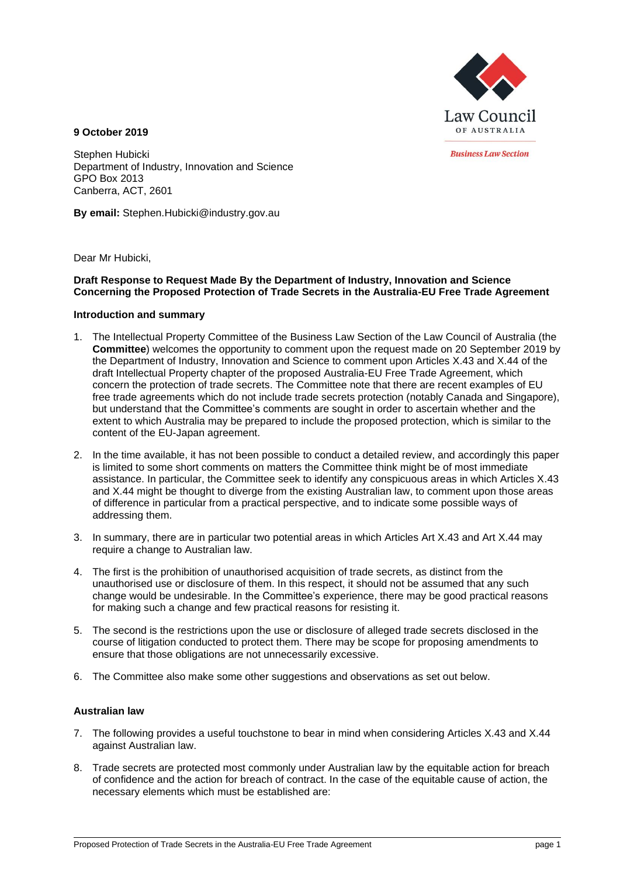

**Business Law Section** 

**9 October 2019**

Stephen Hubicki Department of Industry, Innovation and Science GPO Box 2013 Canberra, ACT, 2601

**By email:** Stephen.Hubicki@industry.gov.au

Dear Mr Hubicki,

# **Draft Response to Request Made By the Department of Industry, Innovation and Science Concerning the Proposed Protection of Trade Secrets in the Australia-EU Free Trade Agreement**

# **Introduction and summary**

- 1. The Intellectual Property Committee of the Business Law Section of the Law Council of Australia (the **Committee**) welcomes the opportunity to comment upon the request made on 20 September 2019 by the Department of Industry, Innovation and Science to comment upon Articles X.43 and X.44 of the draft Intellectual Property chapter of the proposed Australia-EU Free Trade Agreement, which concern the protection of trade secrets. The Committee note that there are recent examples of EU free trade agreements which do not include trade secrets protection (notably Canada and Singapore), but understand that the Committee's comments are sought in order to ascertain whether and the extent to which Australia may be prepared to include the proposed protection, which is similar to the content of the EU-Japan agreement.
- 2. In the time available, it has not been possible to conduct a detailed review, and accordingly this paper is limited to some short comments on matters the Committee think might be of most immediate assistance. In particular, the Committee seek to identify any conspicuous areas in which Articles X.43 and X.44 might be thought to diverge from the existing Australian law, to comment upon those areas of difference in particular from a practical perspective, and to indicate some possible ways of addressing them.
- 3. In summary, there are in particular two potential areas in which Articles Art X.43 and Art X.44 may require a change to Australian law.
- 4. The first is the prohibition of unauthorised acquisition of trade secrets, as distinct from the unauthorised use or disclosure of them. In this respect, it should not be assumed that any such change would be undesirable. In the Committee's experience, there may be good practical reasons for making such a change and few practical reasons for resisting it.
- 5. The second is the restrictions upon the use or disclosure of alleged trade secrets disclosed in the course of litigation conducted to protect them. There may be scope for proposing amendments to ensure that those obligations are not unnecessarily excessive.
- 6. The Committee also make some other suggestions and observations as set out below.

# **Australian law**

- 7. The following provides a useful touchstone to bear in mind when considering Articles X.43 and X.44 against Australian law.
- 8. Trade secrets are protected most commonly under Australian law by the equitable action for breach of confidence and the action for breach of contract. In the case of the equitable cause of action, the necessary elements which must be established are: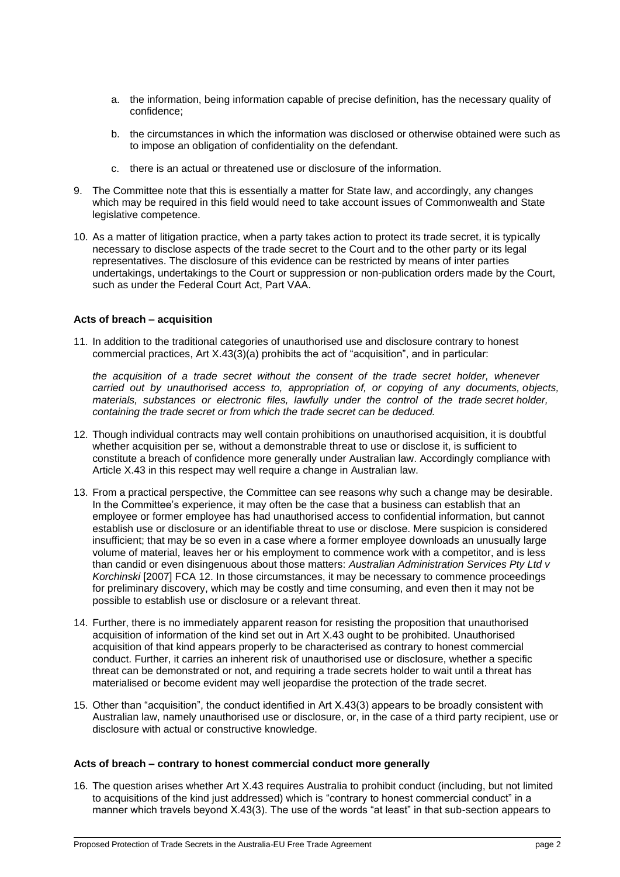- a. the information, being information capable of precise definition, has the necessary quality of confidence;
- b. the circumstances in which the information was disclosed or otherwise obtained were such as to impose an obligation of confidentiality on the defendant.
- c. there is an actual or threatened use or disclosure of the information.
- 9. The Committee note that this is essentially a matter for State law, and accordingly, any changes which may be required in this field would need to take account issues of Commonwealth and State legislative competence.
- 10. As a matter of litigation practice, when a party takes action to protect its trade secret, it is typically necessary to disclose aspects of the trade secret to the Court and to the other party or its legal representatives. The disclosure of this evidence can be restricted by means of inter parties undertakings, undertakings to the Court or suppression or non-publication orders made by the Court, such as under the Federal Court Act, Part VAA.

# **Acts of breach – acquisition**

11. In addition to the traditional categories of unauthorised use and disclosure contrary to honest commercial practices, Art X.43(3)(a) prohibits the act of "acquisition", and in particular:

*the acquisition of a trade secret without the consent of the trade secret holder, whenever carried out by unauthorised access to, appropriation of, or copying of any documents, objects, materials, substances or electronic files, lawfully under the control of the trade secret holder, containing the trade secret or from which the trade secret can be deduced.*

- 12. Though individual contracts may well contain prohibitions on unauthorised acquisition, it is doubtful whether acquisition per se, without a demonstrable threat to use or disclose it, is sufficient to constitute a breach of confidence more generally under Australian law. Accordingly compliance with Article X.43 in this respect may well require a change in Australian law.
- 13. From a practical perspective, the Committee can see reasons why such a change may be desirable. In the Committee's experience, it may often be the case that a business can establish that an employee or former employee has had unauthorised access to confidential information, but cannot establish use or disclosure or an identifiable threat to use or disclose. Mere suspicion is considered insufficient; that may be so even in a case where a former employee downloads an unusually large volume of material, leaves her or his employment to commence work with a competitor, and is less than candid or even disingenuous about those matters: *Australian Administration Services Pty Ltd v Korchinski* [2007] FCA 12. In those circumstances, it may be necessary to commence proceedings for preliminary discovery, which may be costly and time consuming, and even then it may not be possible to establish use or disclosure or a relevant threat.
- 14. Further, there is no immediately apparent reason for resisting the proposition that unauthorised acquisition of information of the kind set out in Art X.43 ought to be prohibited. Unauthorised acquisition of that kind appears properly to be characterised as contrary to honest commercial conduct. Further, it carries an inherent risk of unauthorised use or disclosure, whether a specific threat can be demonstrated or not, and requiring a trade secrets holder to wait until a threat has materialised or become evident may well jeopardise the protection of the trade secret.
- 15. Other than "acquisition", the conduct identified in Art X.43(3) appears to be broadly consistent with Australian law, namely unauthorised use or disclosure, or, in the case of a third party recipient, use or disclosure with actual or constructive knowledge.

### **Acts of breach – contrary to honest commercial conduct more generally**

16. The question arises whether Art X.43 requires Australia to prohibit conduct (including, but not limited to acquisitions of the kind just addressed) which is "contrary to honest commercial conduct" in a manner which travels beyond X.43(3). The use of the words "at least" in that sub-section appears to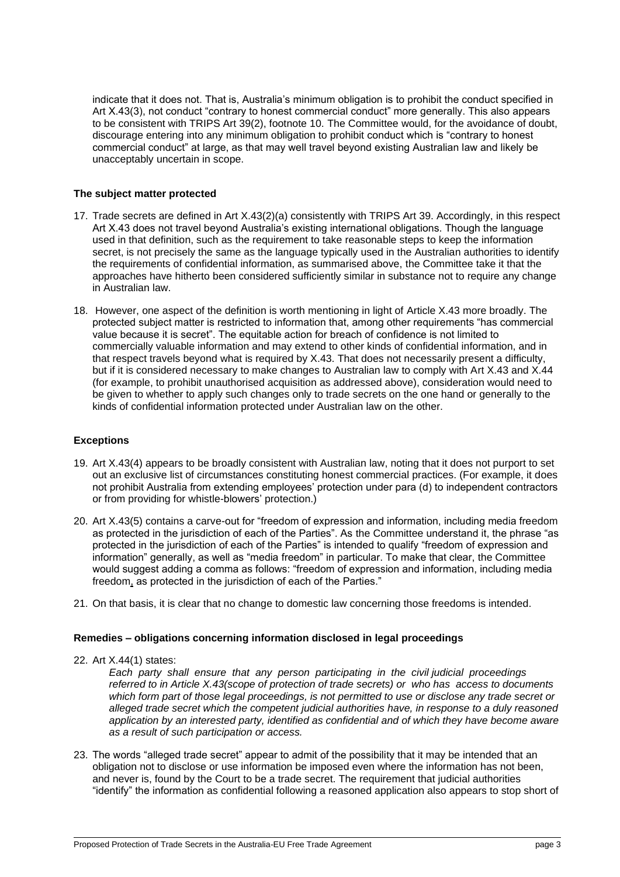indicate that it does not. That is, Australia's minimum obligation is to prohibit the conduct specified in Art X.43(3), not conduct "contrary to honest commercial conduct" more generally. This also appears to be consistent with TRIPS Art 39(2), footnote 10. The Committee would, for the avoidance of doubt, discourage entering into any minimum obligation to prohibit conduct which is "contrary to honest commercial conduct" at large, as that may well travel beyond existing Australian law and likely be unacceptably uncertain in scope.

### **The subject matter protected**

- 17. Trade secrets are defined in Art X.43(2)(a) consistently with TRIPS Art 39. Accordingly, in this respect Art X.43 does not travel beyond Australia's existing international obligations. Though the language used in that definition, such as the requirement to take reasonable steps to keep the information secret, is not precisely the same as the language typically used in the Australian authorities to identify the requirements of confidential information, as summarised above, the Committee take it that the approaches have hitherto been considered sufficiently similar in substance not to require any change in Australian law.
- 18. However, one aspect of the definition is worth mentioning in light of Article X.43 more broadly. The protected subject matter is restricted to information that, among other requirements "has commercial value because it is secret". The equitable action for breach of confidence is not limited to commercially valuable information and may extend to other kinds of confidential information, and in that respect travels beyond what is required by X.43. That does not necessarily present a difficulty, but if it is considered necessary to make changes to Australian law to comply with Art X.43 and X.44 (for example, to prohibit unauthorised acquisition as addressed above), consideration would need to be given to whether to apply such changes only to trade secrets on the one hand or generally to the kinds of confidential information protected under Australian law on the other.

### **Exceptions**

- 19. Art X.43(4) appears to be broadly consistent with Australian law, noting that it does not purport to set out an exclusive list of circumstances constituting honest commercial practices. (For example, it does not prohibit Australia from extending employees' protection under para (d) to independent contractors or from providing for whistle-blowers' protection.)
- 20. Art X.43(5) contains a carve-out for "freedom of expression and information, including media freedom as protected in the jurisdiction of each of the Parties". As the Committee understand it, the phrase "as protected in the jurisdiction of each of the Parties" is intended to qualify "freedom of expression and information" generally, as well as "media freedom" in particular. To make that clear, the Committee would suggest adding a comma as follows: "freedom of expression and information, including media freedom, as protected in the jurisdiction of each of the Parties."
- 21. On that basis, it is clear that no change to domestic law concerning those freedoms is intended.

# **Remedies – obligations concerning information disclosed in legal proceedings**

22. Art X.44(1) states:

*Each party shall ensure that any person participating in the civil judicial proceedings referred to in Article X.43(scope of protection of trade secrets) or who has access to documents which form part of those legal proceedings, is not permitted to use or disclose any trade secret or alleged trade secret which the competent judicial authorities have, in response to a duly reasoned application by an interested party, identified as confidential and of which they have become aware as a result of such participation or access.*

23. The words "alleged trade secret" appear to admit of the possibility that it may be intended that an obligation not to disclose or use information be imposed even where the information has not been, and never is, found by the Court to be a trade secret. The requirement that judicial authorities "identify" the information as confidential following a reasoned application also appears to stop short of